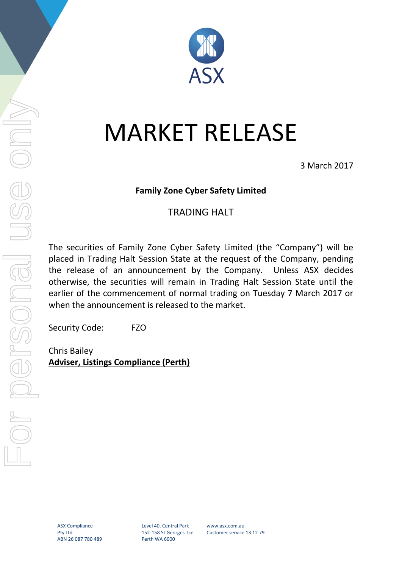

## MARKET RELEASE

3 March 2017

## **Family Zone Cyber Safety Limited**

## TRADING HALT

The securities of Family Zone Cyber Safety Limited (the "Company") will be placed in Trading Halt Session State at the request of the Company, pending the release of an announcement by the Company. Unless ASX decides otherwise, the securities will remain in Trading Halt Session State until the earlier of the commencement of normal trading on Tuesday 7 March 2017 or when the announcement is released to the market.

Security Code: FZO

Chris Bailey **Adviser, Listings Compliance (Perth)**

Level 40, Central Park 152-158 St Georges Tce Perth WA 6000

www.asx.com.au Customer service 13 12 79